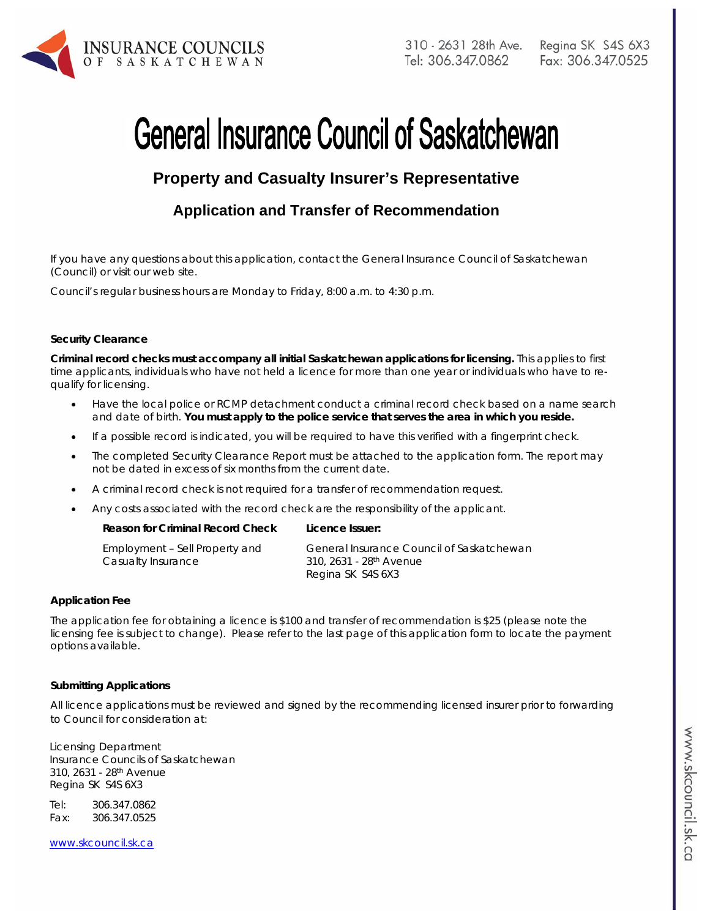

# **General Insurance Council of Saskatchewan**

# **Property and Casualty Insurer's Representative**

## **Application and Transfer of Recommendation**

If you have any questions about this application, contact the General Insurance Council of Saskatchewan (Council) or visit our web site.

Council's regular business hours are Monday to Friday, 8:00 a.m. to 4:30 p.m.

#### **Security Clearance**

**Criminal record checks must accompany all initial Saskatchewan applications for licensing.** This applies to first time applicants, individuals who have not held a licence for more than one year or individuals who have to requalify for licensing.

- Have the local police or RCMP detachment conduct a criminal record check based on a name search and date of birth. **You must apply to the police service that serves the area in which you reside.**
- If a possible record is indicated, you will be required to have this verified with a fingerprint check.
- The completed Security Clearance Report must be attached to the application form. The report may not be dated in excess of six months from the current date.
- A criminal record check is not required for a transfer of recommendation request.
- Any costs associated with the record check are the responsibility of the applicant.

| Employment – Sell Property and | General Insurance Council of Saskatchewan |
|--------------------------------|-------------------------------------------|
| Casualty Insurance             | 310, 2631 - 28 <sup>th</sup> Avenue       |
|                                | Regina SK S4S 6X3                         |

#### **Application Fee**

The application fee for obtaining a licence is \$100 and transfer of recommendation is \$25 (please note the licensing fee is subject to change). Please refer to the last page of this application form to locate the payment options available.

#### **Submitting Applications**

All licence applications must be reviewed and signed by the recommending licensed insurer prior to forwarding to Council for consideration at:

Licensing Department Insurance Councils of Saskatchewan 310, 2631 - 28th Avenue Regina SK S4S 6X3

Tel: 306.347.0862 Fax: 306.347.0525

www.skcouncil.sk.ca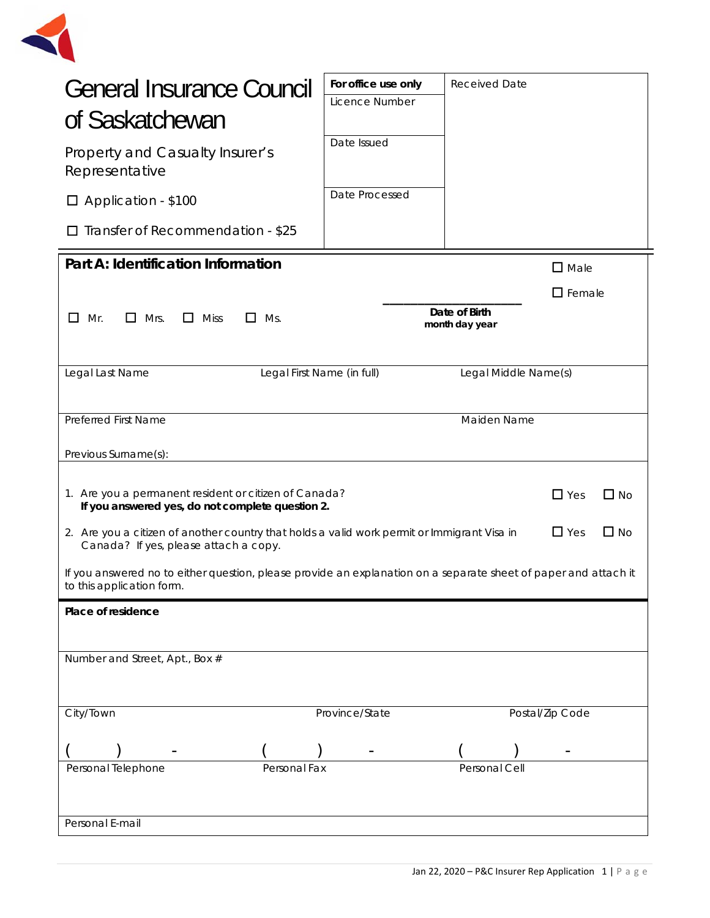

| For office use only<br>Licence Number<br>Date Issued<br>Date Processed                                                                                                                                                                                                                                                                                                                                                                                  | <b>Received Date</b> |                                 |                                                             |
|---------------------------------------------------------------------------------------------------------------------------------------------------------------------------------------------------------------------------------------------------------------------------------------------------------------------------------------------------------------------------------------------------------------------------------------------------------|----------------------|---------------------------------|-------------------------------------------------------------|
|                                                                                                                                                                                                                                                                                                                                                                                                                                                         |                      |                                 |                                                             |
|                                                                                                                                                                                                                                                                                                                                                                                                                                                         |                      | $\square$ Male                  |                                                             |
| Legal First Name (in full)                                                                                                                                                                                                                                                                                                                                                                                                                              |                      |                                 |                                                             |
|                                                                                                                                                                                                                                                                                                                                                                                                                                                         | Maiden Name          |                                 |                                                             |
| 1. Are you a permanent resident or citizen of Canada?<br>$\Box$ Yes<br>$\Box$ No<br>If you answered yes, do not complete question 2.<br>$\Box$ Yes<br>$\Box$ No<br>2. Are you a citizen of another country that holds a valid work permit or Immigrant Visa in<br>Canada? If yes, please attach a copy.<br>If you answered no to either question, please provide an explanation on a separate sheet of paper and attach it<br>to this application form. |                      |                                 |                                                             |
|                                                                                                                                                                                                                                                                                                                                                                                                                                                         |                      |                                 |                                                             |
| Province/State<br>Personal Fax                                                                                                                                                                                                                                                                                                                                                                                                                          | Personal Cell        |                                 |                                                             |
|                                                                                                                                                                                                                                                                                                                                                                                                                                                         |                      | Date of Birth<br>month day year | $\square$ Female<br>Legal Middle Name(s)<br>Postal/Zip Code |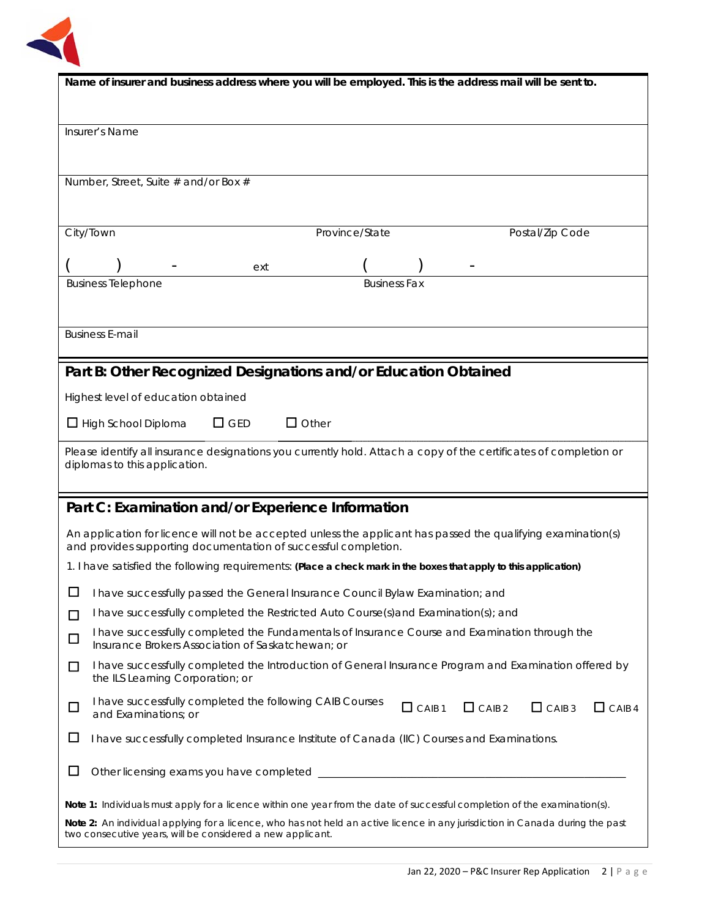

| Name of insurer and business address where you will be employed. This is the address mail will be sent to.                                                                                   |                                                                                                                                                     |                     |                                                                                                        |               |
|----------------------------------------------------------------------------------------------------------------------------------------------------------------------------------------------|-----------------------------------------------------------------------------------------------------------------------------------------------------|---------------------|--------------------------------------------------------------------------------------------------------|---------------|
|                                                                                                                                                                                              |                                                                                                                                                     |                     |                                                                                                        |               |
| Insurer's Name                                                                                                                                                                               |                                                                                                                                                     |                     |                                                                                                        |               |
|                                                                                                                                                                                              |                                                                                                                                                     |                     |                                                                                                        |               |
| Number, Street, Suite # and/or Box #                                                                                                                                                         |                                                                                                                                                     |                     |                                                                                                        |               |
|                                                                                                                                                                                              |                                                                                                                                                     |                     |                                                                                                        |               |
| City/Town                                                                                                                                                                                    |                                                                                                                                                     | Province/State      | Postal/Zip Code                                                                                        |               |
|                                                                                                                                                                                              |                                                                                                                                                     |                     |                                                                                                        |               |
|                                                                                                                                                                                              | ext                                                                                                                                                 |                     |                                                                                                        |               |
| <b>Business Telephone</b>                                                                                                                                                                    |                                                                                                                                                     | <b>Business Fax</b> |                                                                                                        |               |
|                                                                                                                                                                                              |                                                                                                                                                     |                     |                                                                                                        |               |
| <b>Business E-mail</b>                                                                                                                                                                       |                                                                                                                                                     |                     |                                                                                                        |               |
| Part B: Other Recognized Designations and/or Education Obtained                                                                                                                              |                                                                                                                                                     |                     |                                                                                                        |               |
| Highest level of education obtained                                                                                                                                                          |                                                                                                                                                     |                     |                                                                                                        |               |
|                                                                                                                                                                                              | $\Box$ Other<br>$\Box$ GED                                                                                                                          |                     |                                                                                                        |               |
| $\Box$ High School Diploma                                                                                                                                                                   |                                                                                                                                                     |                     |                                                                                                        |               |
| Please identify all insurance designations you currently hold. Attach a copy of the certificates of completion or<br>diplomas to this application.                                           |                                                                                                                                                     |                     |                                                                                                        |               |
|                                                                                                                                                                                              |                                                                                                                                                     |                     |                                                                                                        |               |
| Part C: Examination and/or Experience Information                                                                                                                                            |                                                                                                                                                     |                     |                                                                                                        |               |
| An application for licence will not be accepted unless the applicant has passed the qualifying examination(s)                                                                                |                                                                                                                                                     |                     |                                                                                                        |               |
| and provides supporting documentation of successful completion.                                                                                                                              |                                                                                                                                                     |                     |                                                                                                        |               |
| 1. I have satisfied the following requirements: (Place a check mark in the boxes that apply to this application)                                                                             |                                                                                                                                                     |                     |                                                                                                        |               |
| $\Box$ I have successfully passed the General Insurance Council Bylaw Examination; and                                                                                                       |                                                                                                                                                     |                     |                                                                                                        |               |
| П                                                                                                                                                                                            | I have successfully completed the Restricted Auto Course(s) and Examination(s); and                                                                 |                     |                                                                                                        |               |
| $\Box$                                                                                                                                                                                       | I have successfully completed the Fundamentals of Insurance Course and Examination through the<br>Insurance Brokers Association of Saskatchewan; or |                     |                                                                                                        |               |
| □<br>the ILS Learning Corporation; or                                                                                                                                                        |                                                                                                                                                     |                     | I have successfully completed the Introduction of General Insurance Program and Examination offered by |               |
| I have successfully completed the following CAIB Courses<br>$\Box$<br>and Examinations; or                                                                                                   |                                                                                                                                                     | $\Box$ CAIB 1       | CAB2<br>$\Box$ CAIB 3                                                                                  | $\Box$ CAIB 4 |
| $\Box$<br>I have successfully completed Insurance Institute of Canada (IIC) Courses and Examinations.                                                                                        |                                                                                                                                                     |                     |                                                                                                        |               |
| ப                                                                                                                                                                                            |                                                                                                                                                     |                     |                                                                                                        |               |
| Note 1: Individuals must apply for a licence within one year from the date of successful completion of the examination(s).                                                                   |                                                                                                                                                     |                     |                                                                                                        |               |
| Note 2: An individual applying for a licence, who has not held an active licence in any jurisdiction in Canada during the past<br>two consecutive years, will be considered a new applicant. |                                                                                                                                                     |                     |                                                                                                        |               |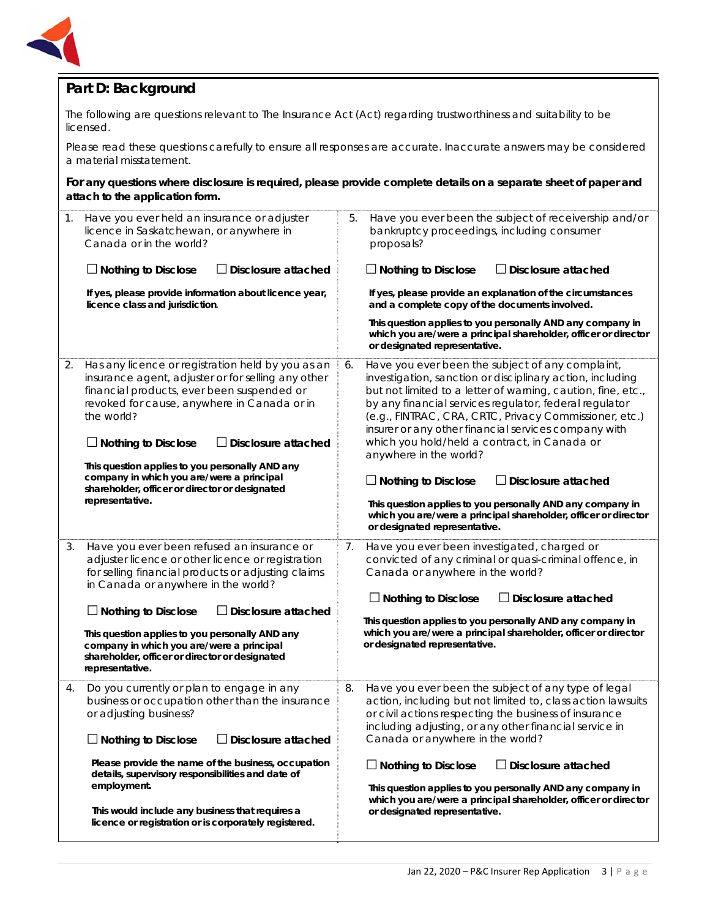

## **Part D: Background**

The following are questions relevant to *The Insurance Act* (Act) regarding trustworthiness and suitability to be licensed.

Please read these questions carefully to ensure all responses are accurate. Inaccurate answers may be considered a material misstatement.

**For any questions where disclosure is required, please provide complete details on a separate sheet of paper and attach to the application form.**

| $\mathbf 1$ . | Have you ever held an insurance or adjuster<br>licence in Saskatchewan, or anywhere in<br>Canada or in the world?<br>$\Box$ Nothing to Disclose<br>$\Box$ Disclosure attached<br>If yes, please provide information about licence year,<br>licence class and jurisdiction.                                                                                                                                                                          | Have you ever been the subject of receivership and/or<br>5.<br>bankruptcy proceedings, including consumer<br>proposals?<br>$\Box$ Nothing to Disclose<br>$\Box$ Disclosure attached<br>If yes, please provide an explanation of the circumstances<br>and a complete copy of the documents involved.<br>This question applies to you personally AND any company in<br>which you are/were a principal shareholder, officer or director<br>or designated representative.                                                                                                                                                                                                   |
|---------------|-----------------------------------------------------------------------------------------------------------------------------------------------------------------------------------------------------------------------------------------------------------------------------------------------------------------------------------------------------------------------------------------------------------------------------------------------------|-------------------------------------------------------------------------------------------------------------------------------------------------------------------------------------------------------------------------------------------------------------------------------------------------------------------------------------------------------------------------------------------------------------------------------------------------------------------------------------------------------------------------------------------------------------------------------------------------------------------------------------------------------------------------|
| 2.            | Has any licence or registration held by you as an<br>insurance agent, adjuster or for selling any other<br>financial products, ever been suspended or<br>revoked for cause, anywhere in Canada or in<br>the world?<br>$\Box$ Nothing to Disclose<br>$\Box$ Disclosure attached<br>This question applies to you personally AND any<br>company in which you are/were a principal<br>shareholder, officer or director or designated<br>representative. | Have you ever been the subject of any complaint,<br>6.<br>investigation, sanction or disciplinary action, including<br>but not limited to a letter of warning, caution, fine, etc.,<br>by any financial services regulator, federal regulator<br>(e.g., FINTRAC, CRA, CRTC, Privacy Commissioner, etc.)<br>insurer or any other financial services company with<br>which you hold/held a contract, in Canada or<br>anywhere in the world?<br>$\Box$ Nothing to Disclose<br>$\Box$ Disclosure attached<br>This question applies to you personally AND any company in<br>which you are/were a principal shareholder, officer or director<br>or designated representative. |
| 3.            | Have you ever been refused an insurance or<br>adjuster licence or other licence or registration<br>for selling financial products or adjusting claims<br>in Canada or anywhere in the world?<br>$\Box$ Nothing to Disclose<br>$\Box$ Disclosure attached<br>This question applies to you personally AND any<br>company in which you are/were a principal<br>shareholder, officer or director or designated<br>representative.                       | Have you ever been investigated, charged or<br>7.<br>convicted of any criminal or quasi-criminal offence, in<br>Canada or anywhere in the world?<br>$\Box$ Nothing to Disclose<br>$\Box$ Disclosure attached<br>This question applies to you personally AND any company in<br>which you are/were a principal shareholder, officer or director<br>or designated representative.                                                                                                                                                                                                                                                                                          |
| 4.            | Do you currently or plan to engage in any<br>business or occupation other than the insurance<br>or adjusting business?<br>$\Box$ Disclosure attached<br>$\Box$ Nothing to Disclose<br>Please provide the name of the business, occupation<br>details, supervisory responsibilities and date of<br>employment.<br>This would include any business that requires a<br>licence or registration or is corporately registered.                           | 8.<br>Have you ever been the subject of any type of legal<br>action, including but not limited to, class action lawsuits<br>or civil actions respecting the business of insurance<br>including adjusting, or any other financial service in<br>Canada or anywhere in the world?<br>$\Box$ Nothing to Disclose<br>$\Box$ Disclosure attached<br>This question applies to you personally AND any company in<br>which you are/were a principal shareholder, officer or director<br>or designated representative.                                                                                                                                                           |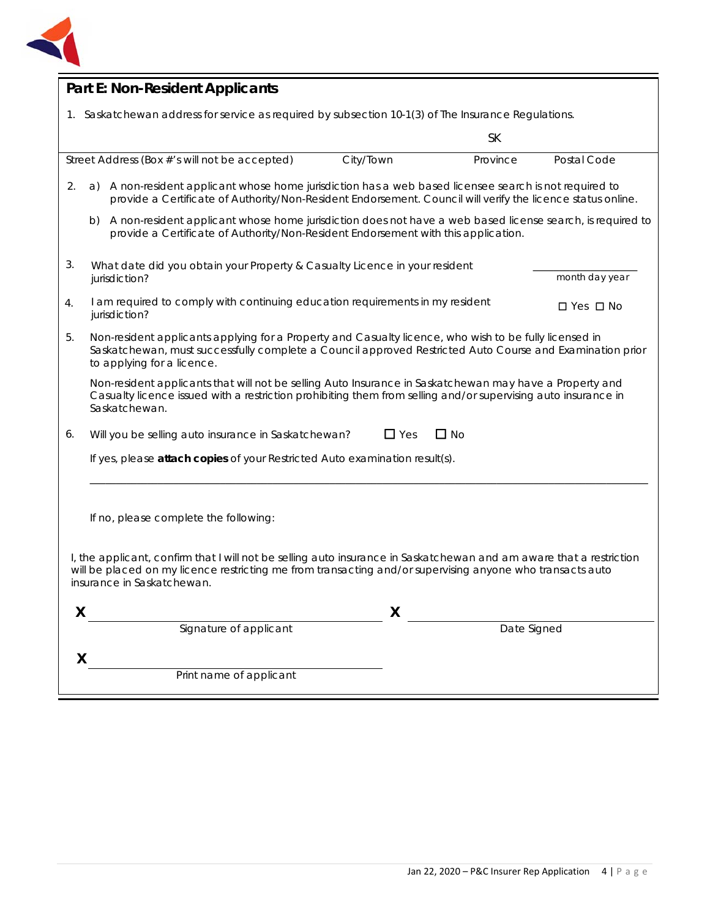

| <b>Part E: Non-Resident Applicants</b>                                                                                                                                                                                                                         |  |  |  |
|----------------------------------------------------------------------------------------------------------------------------------------------------------------------------------------------------------------------------------------------------------------|--|--|--|
| 1. Saskatchewan address for service as required by subsection 10-1(3) of The Insurance Regulations.                                                                                                                                                            |  |  |  |
| <b>SK</b>                                                                                                                                                                                                                                                      |  |  |  |
| Street Address (Box #'s will not be accepted)<br>City/Town<br>Postal Code<br>Province                                                                                                                                                                          |  |  |  |
| A non-resident applicant whose home jurisdiction has a web based licensee search is not required to<br>2.<br>a)<br>provide a Certificate of Authority/Non-Resident Endorsement. Council will verify the licence status online.                                 |  |  |  |
| A non-resident applicant whose home jurisdiction does not have a web based license search, is required to<br>b)<br>provide a Certificate of Authority/Non-Resident Endorsement with this application.                                                          |  |  |  |
| 3.<br>What date did you obtain your Property & Casualty Licence in your resident<br>month day year<br>jurisdiction?                                                                                                                                            |  |  |  |
| I am required to comply with continuing education requirements in my resident<br>4.<br>$\Box$ Yes $\Box$ No<br>jurisdiction?                                                                                                                                   |  |  |  |
| 5.<br>Non-resident applicants applying for a Property and Casualty licence, who wish to be fully licensed in<br>Saskatchewan, must successfully complete a Council approved Restricted Auto Course and Examination prior<br>to applying for a licence.         |  |  |  |
| Non-resident applicants that will not be selling Auto Insurance in Saskatchewan may have a Property and<br>Casualty licence issued with a restriction prohibiting them from selling and/or supervising auto insurance in<br>Saskatchewan.                      |  |  |  |
| $\Box$ Yes<br>$\Box$ No<br>Will you be selling auto insurance in Saskatchewan?<br>6.                                                                                                                                                                           |  |  |  |
| If yes, please attach copies of your Restricted Auto examination result(s).                                                                                                                                                                                    |  |  |  |
|                                                                                                                                                                                                                                                                |  |  |  |
| If no, please complete the following:                                                                                                                                                                                                                          |  |  |  |
|                                                                                                                                                                                                                                                                |  |  |  |
| I, the applicant, confirm that I will not be selling auto insurance in Saskatchewan and am aware that a restriction<br>will be placed on my licence restricting me from transacting and/or supervising anyone who transacts auto<br>insurance in Saskatchewan. |  |  |  |
| X<br>X                                                                                                                                                                                                                                                         |  |  |  |
| Signature of applicant<br>Date Signed                                                                                                                                                                                                                          |  |  |  |
| X                                                                                                                                                                                                                                                              |  |  |  |
| Print name of applicant                                                                                                                                                                                                                                        |  |  |  |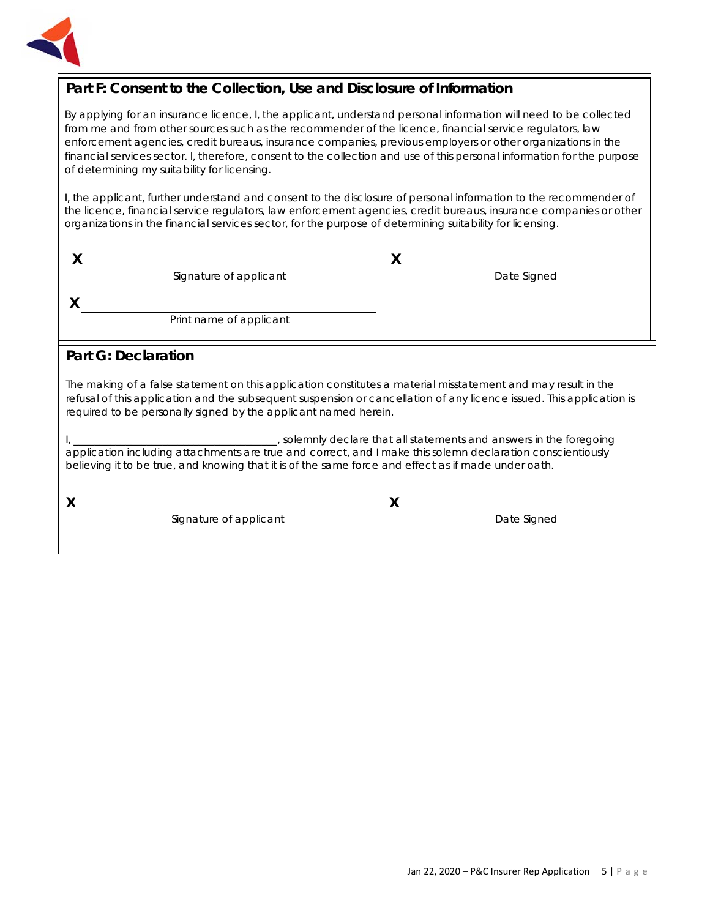

## **Part F: Consent to the Collection, Use and Disclosure of Information**

By applying for an insurance licence, I, the applicant, understand personal information will need to be collected from me and from other sources such as the recommender of the licence, financial service regulators, law enforcement agencies, credit bureaus, insurance companies, previous employers or other organizations in the financial services sector. I, therefore, consent to the collection and use of this personal information for the purpose of determining my suitability for licensing.

I, the applicant, further understand and consent to the disclosure of personal information to the recommender of the licence, financial service regulators, law enforcement agencies, credit bureaus, insurance companies or other organizations in the financial services sector, for the purpose of determining suitability for licensing.

|   | Signature of applicant | Date Signed |  |
|---|------------------------|-------------|--|
| ↗ |                        |             |  |

Print name of applicant

### **Part G: Declaration**

The making of a false statement on this application constitutes a material misstatement and may result in the refusal of this application and the subsequent suspension or cancellation of any licence issued. This application is required to be personally signed by the applicant named herein.

I, \_\_\_\_\_\_\_\_\_\_\_\_\_\_\_\_\_\_\_\_\_\_\_\_\_\_\_\_\_\_\_\_\_\_\_\_\_\_\_, solemnly declare that all statements and answers in the foregoing application including attachments are true and correct, and I make this solemn declaration conscientiously believing it to be true, and knowing that it is of the same force and effect as if made under oath.

**X X**

Signature of applicant The Contract of Applicant Date Signed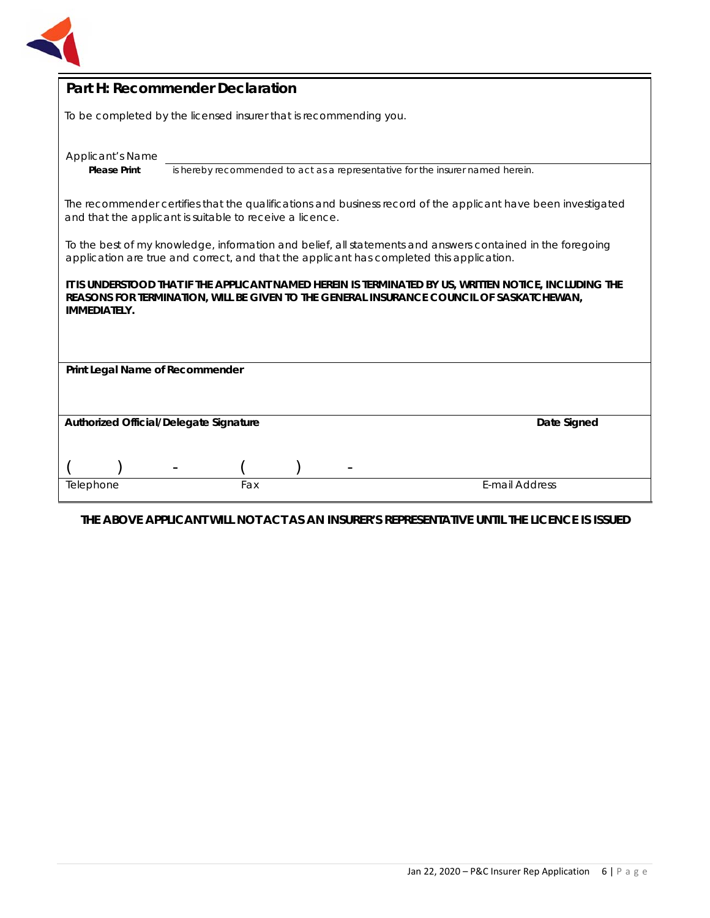

| Part H: Recommender Declaration                                                                                                                                                                                           |  |  |  |
|---------------------------------------------------------------------------------------------------------------------------------------------------------------------------------------------------------------------------|--|--|--|
| To be completed by the licensed insurer that is recommending you.                                                                                                                                                         |  |  |  |
| Applicant's Name<br>is hereby recommended to act as a representative for the insurer named herein.<br><b>Please Print</b>                                                                                                 |  |  |  |
| The recommender certifies that the qualifications and business record of the applicant have been investigated<br>and that the applicant is suitable to receive a licence.                                                 |  |  |  |
| To the best of my knowledge, information and belief, all statements and answers contained in the foregoing<br>application are true and correct, and that the applicant has completed this application.                    |  |  |  |
| IT IS UNDERSTOOD THAT IF THE APPLICANT NAMED HEREIN IS TERMINATED BY US, WRITTEN NOTICE, INCLUDING THE<br>REASONS FOR TERMINATION, WILL BE GIVEN TO THE GENERAL INSURANCE COUNCIL OF SASKATCHEWAN,<br><b>IMMEDIATELY.</b> |  |  |  |
| Print Legal Name of Recommender                                                                                                                                                                                           |  |  |  |
| Authorized Official/Delegate Signature<br>Date Signed                                                                                                                                                                     |  |  |  |
|                                                                                                                                                                                                                           |  |  |  |
| <b>E-mail Address</b><br>Telephone<br>Fax                                                                                                                                                                                 |  |  |  |

**THE ABOVE APPLICANT WILL NOT ACT AS AN INSURER'S REPRESENTATIVE UNTIL THE LICENCE IS ISSUED**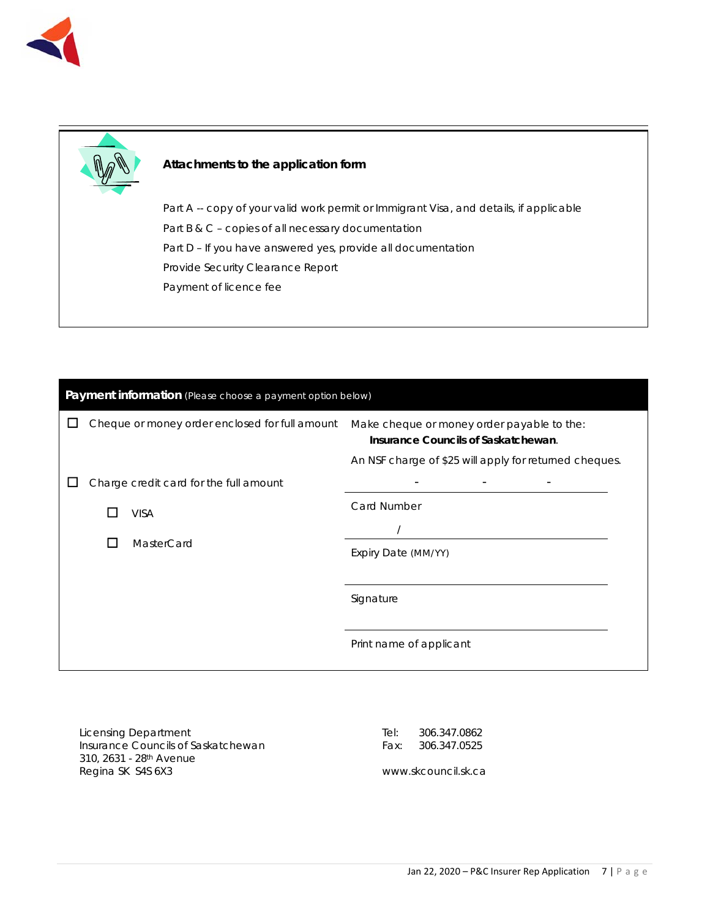



#### **Attachments to the application form**

Part A -- copy of your valid work permit or Immigrant Visa, and details, if applicable Part B & C – copies of all necessary documentation Part D – If you have answered yes, provide all documentation Provide Security Clearance Report Payment of licence fee

| Payment information (Please choose a payment option below) |                                                |                                                                                                                                             |  |
|------------------------------------------------------------|------------------------------------------------|---------------------------------------------------------------------------------------------------------------------------------------------|--|
|                                                            | Cheque or money order enclosed for full amount | Make cheque or money order payable to the:<br>Insurance Councils of Saskatchewan.<br>An NSF charge of \$25 will apply for returned cheques. |  |
|                                                            | Charge credit card for the full amount         |                                                                                                                                             |  |
|                                                            | <b>VISA</b>                                    | Card Number                                                                                                                                 |  |
|                                                            |                                                |                                                                                                                                             |  |
|                                                            | MasterCard<br>$\mathsf{L}$                     | Expiry Date (MM/YY)                                                                                                                         |  |
|                                                            |                                                |                                                                                                                                             |  |
|                                                            |                                                | Signature                                                                                                                                   |  |
|                                                            |                                                | Print name of applicant                                                                                                                     |  |

Licensing Department Insurance Councils of Saskatchewan 310, 2631 - 28th Avenue Regina SK S4S 6X3

Tel: 306.347.0862 Fax: 306.347.0525

www.skcouncil.sk.ca